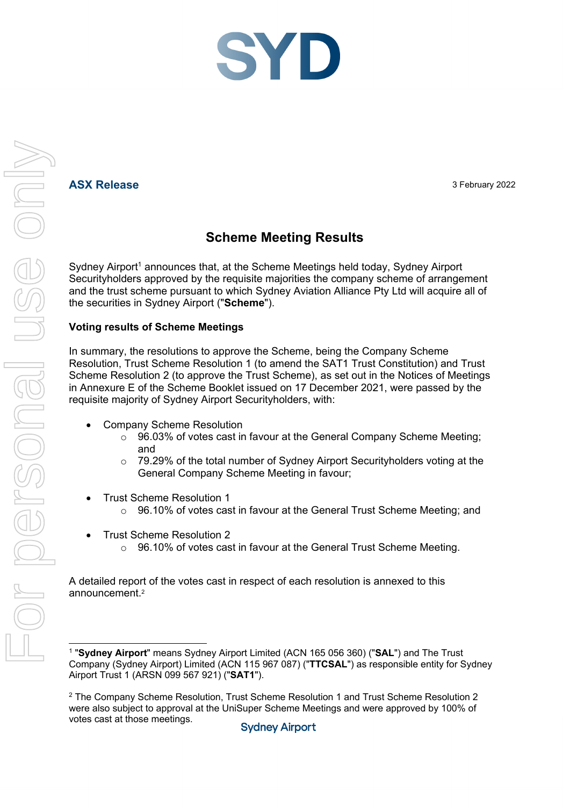## **ASX Release** 3 February 2022

# **Scheme Meeting Results**

Sydney Airport<sup>1</sup> announces that, at the Scheme Meetings held today, Sydney Airport Securityholders approved by the requisite majorities the company scheme of arrangement and the trust scheme pursuant to which Sydney Aviation Alliance Pty Ltd will acquire all of the securities in Sydney Airport ("**Scheme**").

### **Voting results of Scheme Meetings**

In summary, the resolutions to approve the Scheme, being the Company Scheme Resolution, Trust Scheme Resolution 1 (to amend the SAT1 Trust Constitution) and Trust Scheme Resolution 2 (to approve the Trust Scheme), as set out in the Notices of Meetings in Annexure E of the Scheme Booklet issued on 17 December 2021, were passed by the requisite majority of Sydney Airport Securityholders, with:

- Company Scheme Resolution
	- $\circ$  96.03% of votes cast in favour at the General Company Scheme Meeting; and
	- $\circ$  79.29% of the total number of Sydney Airport Securityholders voting at the General Company Scheme Meeting in favour;
- Trust Scheme Resolution 1
	- 96.10% of votes cast in favour at the General Trust Scheme Meeting; and
- Trust Scheme Resolution 2
	- $\circ$  96.10% of votes cast in favour at the General Trust Scheme Meeting.

A detailed report of the votes cast in respect of each resolution is annexed to this announcement.2

<sup>1 &</sup>quot;**Sydney Airport**" means Sydney Airport Limited (ACN 165 056 360) ("**SAL**") and The Trust Company (Sydney Airport) Limited (ACN 115 967 087) ("**TTCSAL**") as responsible entity for Sydney Airport Trust 1 (ARSN 099 567 921) ("**SAT1**").

<sup>2</sup> The Company Scheme Resolution, Trust Scheme Resolution 1 and Trust Scheme Resolution 2 were also subject to approval at the UniSuper Scheme Meetings and were approved by 100% of votes cast at those meetings.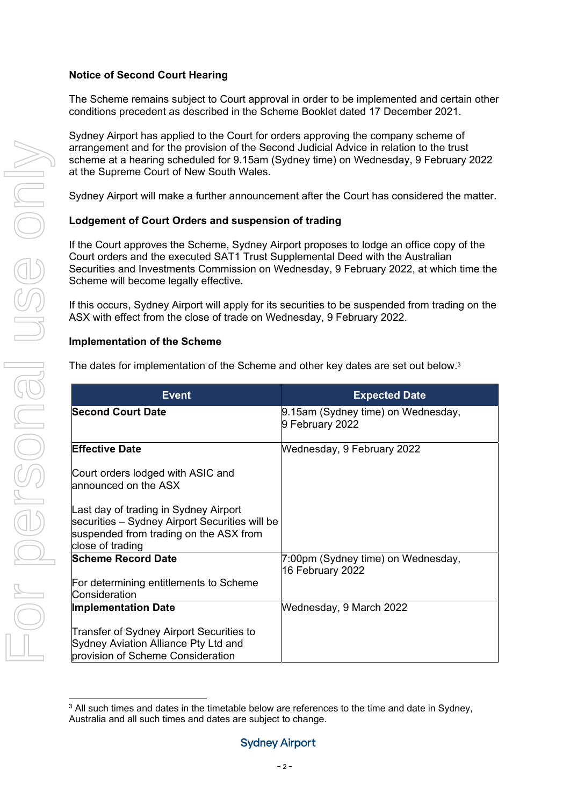#### **Notice of Second Court Hearing**

The Scheme remains subject to Court approval in order to be implemented and certain other conditions precedent as described in the Scheme Booklet dated 17 December 2021.

Sydney Airport has applied to the Court for orders approving the company scheme of arrangement and for the provision of the Second Judicial Advice in relation to the trust scheme at a hearing scheduled for 9.15am (Sydney time) on Wednesday, 9 February 2022 at the Supreme Court of New South Wales.

Sydney Airport will make a further announcement after the Court has considered the matter.

## **Lodgement of Court Orders and suspension of trading**

If the Court approves the Scheme, Sydney Airport proposes to lodge an office copy of the Court orders and the executed SAT1 Trust Supplemental Deed with the Australian Securities and Investments Commission on Wednesday, 9 February 2022, at which time the Scheme will become legally effective.

If this occurs, Sydney Airport will apply for its securities to be suspended from trading on the ASX with effect from the close of trade on Wednesday, 9 February 2022.

### **Implementation of the Scheme**

The dates for implementation of the Scheme and other key dates are set out below.3

| <b>Event</b>                                                                                                                                          | <b>Expected Date</b>                                   |  |  |  |  |
|-------------------------------------------------------------------------------------------------------------------------------------------------------|--------------------------------------------------------|--|--|--|--|
| <b>Second Court Date</b>                                                                                                                              | 9.15am (Sydney time) on Wednesday,<br>9 February 2022  |  |  |  |  |
| <b>Effective Date</b>                                                                                                                                 | Wednesday, 9 February 2022                             |  |  |  |  |
| Court orders lodged with ASIC and<br>announced on the ASX                                                                                             |                                                        |  |  |  |  |
| Last day of trading in Sydney Airport<br>securities – Sydney Airport Securities will be<br>suspended from trading on the ASX from<br>close of trading |                                                        |  |  |  |  |
| <b>Scheme Record Date</b>                                                                                                                             | 7:00pm (Sydney time) on Wednesday,<br>16 February 2022 |  |  |  |  |
| For determining entitlements to Scheme<br>Consideration                                                                                               |                                                        |  |  |  |  |
| <b>Implementation Date</b>                                                                                                                            | Wednesday, 9 March 2022                                |  |  |  |  |
| Transfer of Sydney Airport Securities to<br>Sydney Aviation Alliance Pty Ltd and<br>provision of Scheme Consideration                                 |                                                        |  |  |  |  |

 $3$  All such times and dates in the timetable below are references to the time and date in Sydney. Australia and all such times and dates are subject to change.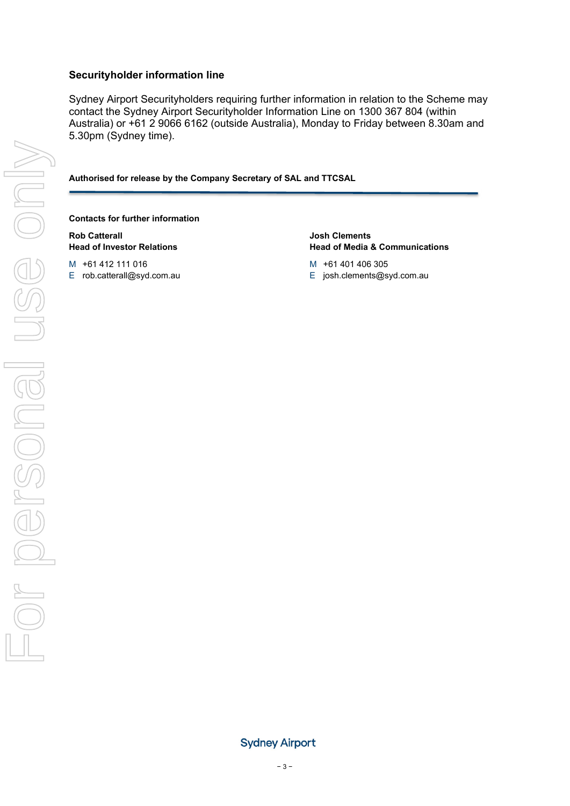#### **Securityholder information line**

Sydney Airport Securityholders requiring further information in relation to the Scheme may contact the Sydney Airport Securityholder Information Line on 1300 367 804 (within Australia) or +61 2 9066 6162 (outside Australia), Monday to Friday between 8.30am and 5.30pm (Sydney time).

**Authorised for release by the Company Secretary of SAL and TTCSAL** 

#### **Contacts for further information**

**Rob Catterall Head of Investor Relations** 

M +61 412 111 016

E rob.catterall@syd.com.au

**Josh Clements Head of Media & Communications** 

- M +61 401 406 305
- E josh.clements@syd.com.au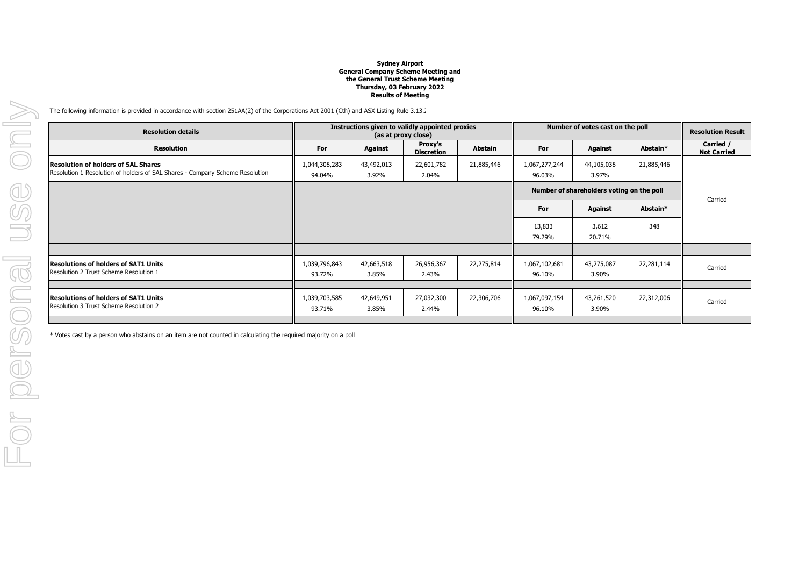#### **Sydney Airport General Company Scheme Meeting and the General Trust Scheme MeetingThursday, 03 February 2022Results of Meeting**

The following information is provided in accordance with section 251AA(2) of the Corporations Act 2001 (Cth) and ASX Listing Rule 3.13.

| <b>Resolution details</b>                                                                                                  | Instructions given to validly appointed proxies<br>(as at proxy close) |                     |                              |                | Number of votes cast on the poll          | <b>Resolution Result</b> |            |                                 |
|----------------------------------------------------------------------------------------------------------------------------|------------------------------------------------------------------------|---------------------|------------------------------|----------------|-------------------------------------------|--------------------------|------------|---------------------------------|
| <b>Resolution</b>                                                                                                          | For                                                                    | <b>Against</b>      | Proxy's<br><b>Discretion</b> | <b>Abstain</b> | For                                       | Against                  | Abstain*   | Carried /<br><b>Not Carried</b> |
| <b>Resolution of holders of SAL Shares</b><br>Resolution 1 Resolution of holders of SAL Shares - Company Scheme Resolution | 1,044,308,283<br>94.04%                                                | 43,492,013<br>3.92% | 22,601,782<br>2.04%          | 21,885,446     | 1,067,277,244<br>96.03%                   | 44,105,038<br>3.97%      | 21,885,446 |                                 |
|                                                                                                                            |                                                                        |                     |                              |                | Number of shareholders voting on the poll |                          |            |                                 |
|                                                                                                                            |                                                                        |                     |                              |                | For                                       | Against                  | Abstain*   | Carried                         |
|                                                                                                                            |                                                                        |                     |                              |                | 13,833<br>79.29%                          | 3,612<br>20.71%          | 348        |                                 |
|                                                                                                                            |                                                                        |                     |                              |                |                                           |                          |            |                                 |
| <b>Resolutions of holders of SAT1 Units</b><br>Resolution 2 Trust Scheme Resolution 1                                      | 1,039,796,843<br>93.72%                                                | 42,663,518<br>3.85% | 26,956,367<br>2.43%          | 22,275,814     | 1,067,102,681<br>96.10%                   | 43,275,087<br>3.90%      | 22,281,114 | Carried                         |
|                                                                                                                            |                                                                        |                     |                              |                |                                           |                          |            |                                 |
| <b>Resolutions of holders of SAT1 Units</b><br>Resolution 3 Trust Scheme Resolution 2                                      | 1,039,703,585<br>93.71%                                                | 42,649,951<br>3.85% | 27,032,300<br>2.44%          | 22,306,706     | 1,067,097,154<br>96.10%                   | 43,261,520<br>3.90%      | 22,312,006 | Carried                         |
|                                                                                                                            |                                                                        |                     |                              |                |                                           |                          |            |                                 |

\* Votes cast by a person who abstains on an item are not counted in calculating the required majority on a poll.